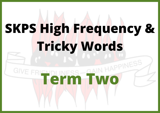## **SKPS High Frequency & Tricky Words**

## **TERM TWO** GIVE F.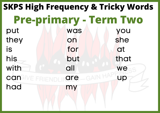put was you they on she is for at  $\lambda$ his but that with all we can alve Friendlingre \_GAIN HAFT up had my **SKPS High Frequency & Tricky Words Pre-primary - Term Two**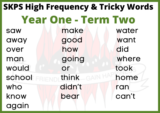## saw make water away good want over how did man going where would or took school FRIEND think GAIN HAM home who didn't ran know bear can't again **SKPS High Frequency & Tricky Words Year One - Term Two**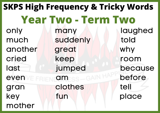only many laughed much suddenly told another great why cried keep room last jumped because even *verweisen am der before* gran clothes tell key fun fun place mother **SKPS High Frequency & Tricky Words Year Two - Term Two**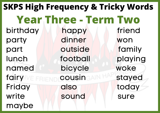birthday happy friend party dinner won part outside family lunch football playing named bicycle woke fairy WE FRIENDICOUSING AIN HALL stayed Friday also today write sound sure maybe **SKPS High Frequency & Tricky Words Year Three - Term Two**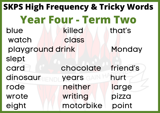blue killed that's watch class playground drink Monday slept card chocolate friend's dinosaur <sub>FNDI</sub> years GAN hurt rode neither large wrote writing pizza eight **motorbike** point **SKPS High Frequency & Tricky Words Year Four - Term Two**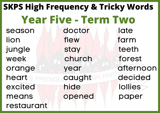season doctor late lion flew farm jungle stay teeth week church forest orange year afternoon heart **Example Caught 11 decided** excited hide lollies means opened paper restaurant **SKPS High Frequency & Tricky Words Year Five - Term Two**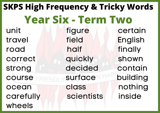unit late figure certain travel field English road half half finally correct quickly shown strong decided contain course **surface building** ocean class nothing carefully scientists inside wheels **SKPS High Frequency & Tricky Words Year Six - Term Two**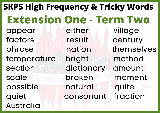appear either village factors result century phrase nation themselves temperature bright method section dictionary amount scale **broken** moment possible natural quite quiet **consonant** fraction Australia **SKPS High Frequency & Tricky Words Extension One - Term Two**